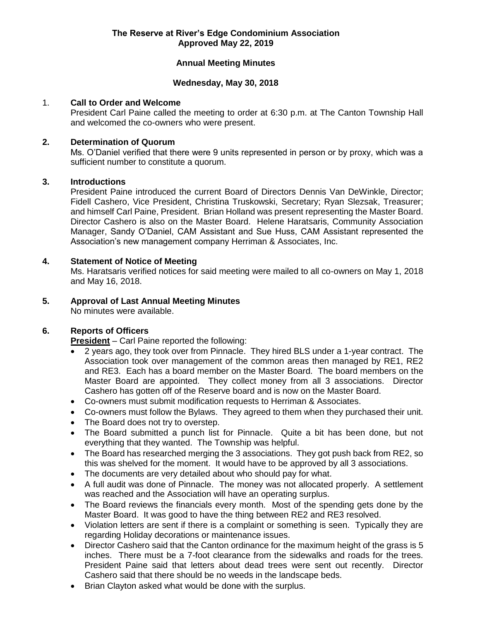## **Annual Meeting Minutes**

#### **Wednesday, May 30, 2018**

#### 1. **Call to Order and Welcome**

President Carl Paine called the meeting to order at 6:30 p.m. at The Canton Township Hall and welcomed the co-owners who were present.

### **2. Determination of Quorum**

Ms. O'Daniel verified that there were 9 units represented in person or by proxy, which was a sufficient number to constitute a quorum.

# **3. Introductions**

President Paine introduced the current Board of Directors Dennis Van DeWinkle, Director; Fidell Cashero, Vice President, Christina Truskowski, Secretary; Ryan Slezsak, Treasurer; and himself Carl Paine, President. Brian Holland was present representing the Master Board. Director Cashero is also on the Master Board. Helene Haratsaris, Community Association Manager, Sandy O'Daniel, CAM Assistant and Sue Huss, CAM Assistant represented the Association's new management company Herriman & Associates, Inc.

#### **4. Statement of Notice of Meeting**

Ms. Haratsaris verified notices for said meeting were mailed to all co-owners on May 1, 2018 and May 16, 2018.

# **5. Approval of Last Annual Meeting Minutes**

No minutes were available.

# **6. Reports of Officers**

**President** – Carl Paine reported the following:

- 2 years ago, they took over from Pinnacle. They hired BLS under a 1-year contract. The Association took over management of the common areas then managed by RE1, RE2 and RE3. Each has a board member on the Master Board. The board members on the Master Board are appointed. They collect money from all 3 associations. Director Cashero has gotten off of the Reserve board and is now on the Master Board.
- Co-owners must submit modification requests to Herriman & Associates.
- Co-owners must follow the Bylaws. They agreed to them when they purchased their unit.
- The Board does not try to overstep.
- The Board submitted a punch list for Pinnacle. Quite a bit has been done, but not everything that they wanted. The Township was helpful.
- The Board has researched merging the 3 associations. They got push back from RE2, so this was shelved for the moment. It would have to be approved by all 3 associations.
- The documents are very detailed about who should pay for what.
- A full audit was done of Pinnacle. The money was not allocated properly. A settlement was reached and the Association will have an operating surplus.
- The Board reviews the financials every month. Most of the spending gets done by the Master Board. It was good to have the thing between RE2 and RE3 resolved.
- Violation letters are sent if there is a complaint or something is seen. Typically they are regarding Holiday decorations or maintenance issues.
- Director Cashero said that the Canton ordinance for the maximum height of the grass is 5 inches. There must be a 7-foot clearance from the sidewalks and roads for the trees. President Paine said that letters about dead trees were sent out recently. Director Cashero said that there should be no weeds in the landscape beds.
- Brian Clayton asked what would be done with the surplus.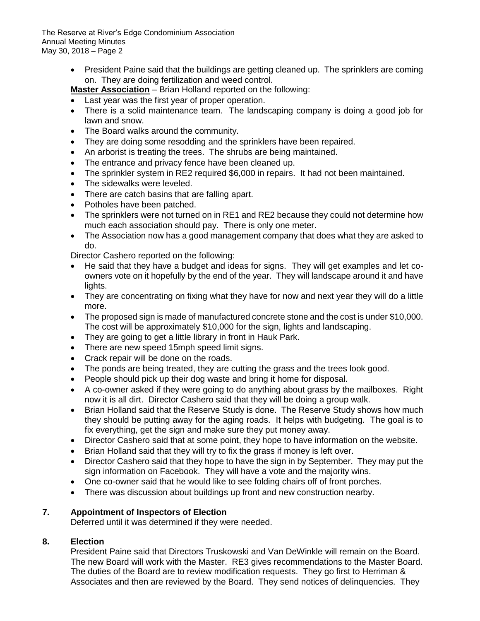The Reserve at River's Edge Condominium Association Annual Meeting Minutes May 30, 2018 – Page 2

> • President Paine said that the buildings are getting cleaned up. The sprinklers are coming on. They are doing fertilization and weed control.

**Master Association** – Brian Holland reported on the following:

- Last year was the first year of proper operation.
- There is a solid maintenance team. The landscaping company is doing a good job for lawn and snow.
- The Board walks around the community.
- They are doing some resodding and the sprinklers have been repaired.
- An arborist is treating the trees. The shrubs are being maintained.
- The entrance and privacy fence have been cleaned up.
- The sprinkler system in RE2 required \$6,000 in repairs. It had not been maintained.
- The sidewalks were leveled.
- There are catch basins that are falling apart.
- Potholes have been patched.
- The sprinklers were not turned on in RE1 and RE2 because they could not determine how much each association should pay. There is only one meter.
- The Association now has a good management company that does what they are asked to do.

Director Cashero reported on the following:

- He said that they have a budget and ideas for signs. They will get examples and let coowners vote on it hopefully by the end of the year. They will landscape around it and have lights.
- They are concentrating on fixing what they have for now and next year they will do a little more.
- The proposed sign is made of manufactured concrete stone and the cost is under \$10,000. The cost will be approximately \$10,000 for the sign, lights and landscaping.
- They are going to get a little library in front in Hauk Park.
- There are new speed 15mph speed limit signs.
- Crack repair will be done on the roads.
- The ponds are being treated, they are cutting the grass and the trees look good.
- People should pick up their dog waste and bring it home for disposal.
- A co-owner asked if they were going to do anything about grass by the mailboxes. Right now it is all dirt. Director Cashero said that they will be doing a group walk.
- Brian Holland said that the Reserve Study is done. The Reserve Study shows how much they should be putting away for the aging roads. It helps with budgeting. The goal is to fix everything, get the sign and make sure they put money away.
- Director Cashero said that at some point, they hope to have information on the website.
- Brian Holland said that they will try to fix the grass if money is left over.
- Director Cashero said that they hope to have the sign in by September. They may put the sign information on Facebook. They will have a vote and the majority wins.
- One co-owner said that he would like to see folding chairs off of front porches.
- There was discussion about buildings up front and new construction nearby.

# **7. Appointment of Inspectors of Election**

Deferred until it was determined if they were needed.

# **8. Election**

President Paine said that Directors Truskowski and Van DeWinkle will remain on the Board. The new Board will work with the Master. RE3 gives recommendations to the Master Board. The duties of the Board are to review modification requests. They go first to Herriman & Associates and then are reviewed by the Board. They send notices of delinquencies. They